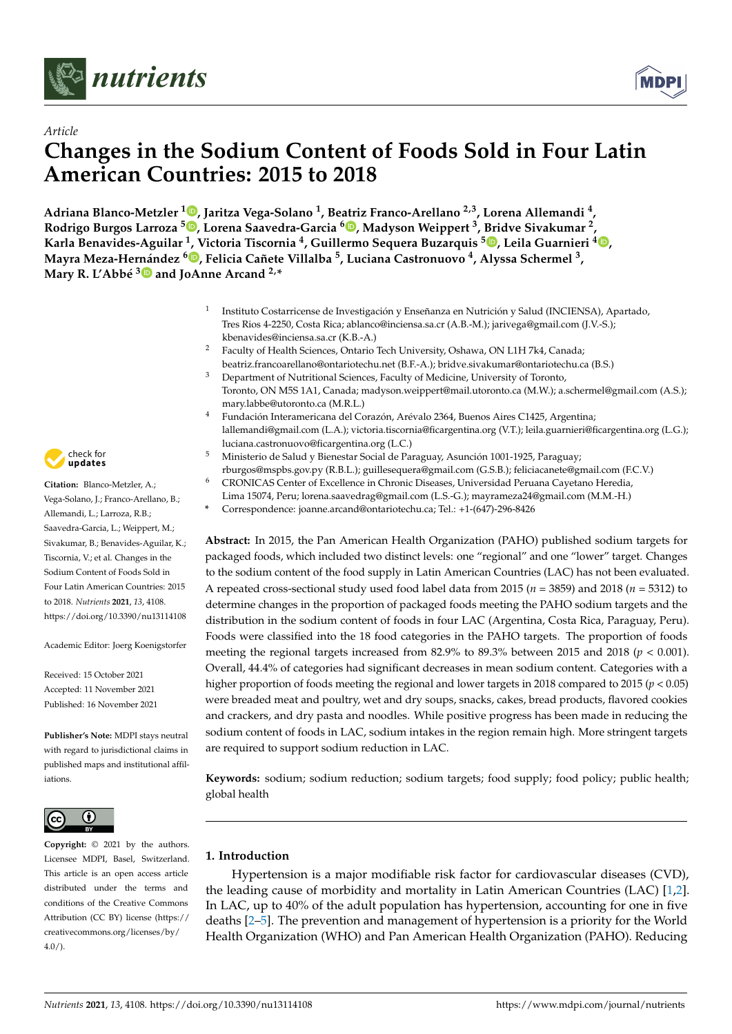

*Article*



# **Changes in the Sodium Content of Foods Sold in Four Latin American Countries: 2015 to 2018**

**Adriana Blanco-Metzler <sup>1</sup> [,](https://orcid.org/0000-0002-9818-7023) Jaritza Vega-Solano <sup>1</sup> , Beatriz Franco-Arellano 2,3, Lorena Allemandi <sup>4</sup> , Rodrigo Burgos Larroza <sup>5</sup> [,](https://orcid.org/0000-0002-0235-7359) Lorena Saavedra-Garcia <sup>6</sup> [,](https://orcid.org/0000-0003-1524-780X) Madyson Weippert <sup>3</sup> , Bridve Sivakumar <sup>2</sup> , Karla Benavides-Aguilar <sup>1</sup> , Victoria Tiscornia <sup>4</sup> , Guillermo Sequera Buzarquis <sup>5</sup> [,](https://orcid.org/0000-0002-7707-1363) Leila Guarnieri [4](https://orcid.org/0000-0001-8120-183X) , Mayra Meza-Hernández <sup>6</sup> [,](https://orcid.org/0000-0002-2061-0389) Felicia Cañete Villalba <sup>5</sup> , Luciana Castronuovo <sup>4</sup> , Alyssa Schermel <sup>3</sup> , Mary R. L'Abbé [3](https://orcid.org/0000-0001-7688-7558) and JoAnne Arcand 2,\***

- 1 Instituto Costarricense de Investigación y Enseñanza en Nutrición y Salud (INCIENSA), Apartado, Tres Rios 4-2250, Costa Rica; ablanco@inciensa.sa.cr (A.B.-M.); jarivega@gmail.com (J.V.-S.); kbenavides@inciensa.sa.cr (K.B.-A.)
	- <sup>2</sup> Faculty of Health Sciences, Ontario Tech University, Oshawa, ON L1H 7k4, Canada; beatriz.francoarellano@ontariotechu.net (B.F.-A.); bridve.sivakumar@ontariotechu.ca (B.S.)
- <sup>3</sup> Department of Nutritional Sciences, Faculty of Medicine, University of Toronto, Toronto, ON M5S 1A1, Canada; madyson.weippert@mail.utoronto.ca (M.W.); a.schermel@gmail.com (A.S.); mary.labbe@utoronto.ca (M.R.L.)
- <sup>4</sup> Fundación Interamericana del Corazón, Arévalo 2364, Buenos Aires C1425, Argentina; lallemandi@gmail.com (L.A.); victoria.tiscornia@ficargentina.org (V.T.); leila.guarnieri@ficargentina.org (L.G.); luciana.castronuovo@ficargentina.org (L.C.)
- <sup>5</sup> Ministerio de Salud y Bienestar Social de Paraguay, Asunción 1001-1925, Paraguay; rburgos@mspbs.gov.py (R.B.L.); guillesequera@gmail.com (G.S.B.); feliciacanete@gmail.com (F.C.V.)
- <sup>6</sup> CRONICAS Center of Excellence in Chronic Diseases, Universidad Peruana Cayetano Heredia,
- Lima 15074, Peru; lorena.saavedrag@gmail.com (L.S.-G.); mayrameza24@gmail.com (M.M.-H.)
- **\*** Correspondence: joanne.arcand@ontariotechu.ca; Tel.: +1-(647)-296-8426

**Abstract:** In 2015, the Pan American Health Organization (PAHO) published sodium targets for packaged foods, which included two distinct levels: one "regional" and one "lower" target. Changes to the sodium content of the food supply in Latin American Countries (LAC) has not been evaluated. A repeated cross-sectional study used food label data from 2015 (*n* = 3859) and 2018 (*n* = 5312) to determine changes in the proportion of packaged foods meeting the PAHO sodium targets and the distribution in the sodium content of foods in four LAC (Argentina, Costa Rica, Paraguay, Peru). Foods were classified into the 18 food categories in the PAHO targets. The proportion of foods meeting the regional targets increased from 82.9% to 89.3% between 2015 and 2018 ( $p < 0.001$ ). Overall, 44.4% of categories had significant decreases in mean sodium content. Categories with a higher proportion of foods meeting the regional and lower targets in 2018 compared to 2015 (*p* < 0.05) were breaded meat and poultry, wet and dry soups, snacks, cakes, bread products, flavored cookies and crackers, and dry pasta and noodles. While positive progress has been made in reducing the sodium content of foods in LAC, sodium intakes in the region remain high. More stringent targets are required to support sodium reduction in LAC.

**Keywords:** sodium; sodium reduction; sodium targets; food supply; food policy; public health; global health

# **1. Introduction**

Hypertension is a major modifiable risk factor for cardiovascular diseases (CVD), the leading cause of morbidity and mortality in Latin American Countries (LAC) [\[1,](#page-9-0)[2\]](#page-9-1). In LAC, up to 40% of the adult population has hypertension, accounting for one in five deaths [\[2](#page-9-1)[–5\]](#page-9-2). The prevention and management of hypertension is a priority for the World Health Organization (WHO) and Pan American Health Organization (PAHO). Reducing



**Citation:** Blanco-Metzler, A.; Vega-Solano, J.; Franco-Arellano, B.; Allemandi, L.; Larroza, R.B.; Saavedra-Garcia, L.; Weippert, M.; Sivakumar, B.; Benavides-Aguilar, K.; Tiscornia, V.; et al. Changes in the Sodium Content of Foods Sold in Four Latin American Countries: 2015 to 2018. *Nutrients* **2021**, *13*, 4108. <https://doi.org/10.3390/nu13114108>

Academic Editor: Joerg Koenigstorfer

Received: 15 October 2021 Accepted: 11 November 2021 Published: 16 November 2021

**Publisher's Note:** MDPI stays neutral with regard to jurisdictional claims in published maps and institutional affiliations.



**Copyright:** © 2021 by the authors. Licensee MDPI, Basel, Switzerland. This article is an open access article distributed under the terms and conditions of the Creative Commons Attribution (CC BY) license (https:/[/](https://creativecommons.org/licenses/by/4.0/) [creativecommons.org/licenses/by/](https://creativecommons.org/licenses/by/4.0/)  $4.0/$ ).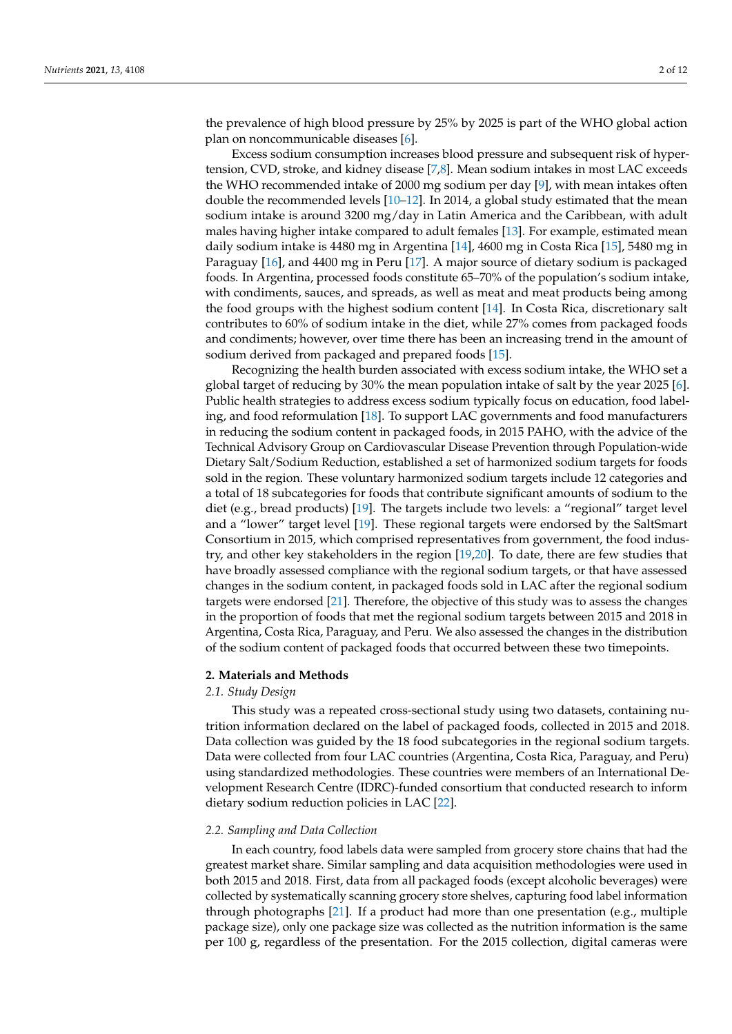the prevalence of high blood pressure by 25% by 2025 is part of the WHO global action plan on noncommunicable diseases [\[6\]](#page-9-3).

Excess sodium consumption increases blood pressure and subsequent risk of hypertension, CVD, stroke, and kidney disease [\[7,](#page-9-4)[8\]](#page-9-5). Mean sodium intakes in most LAC exceeds the WHO recommended intake of 2000 mg sodium per day [\[9\]](#page-9-6), with mean intakes often double the recommended levels [\[10–](#page-9-7)[12\]](#page-9-8). In 2014, a global study estimated that the mean sodium intake is around 3200 mg/day in Latin America and the Caribbean, with adult males having higher intake compared to adult females [\[13\]](#page-10-0). For example, estimated mean daily sodium intake is 4480 mg in Argentina [\[14\]](#page-10-1), 4600 mg in Costa Rica [\[15\]](#page-10-2), 5480 mg in Paraguay [\[16\]](#page-10-3), and 4400 mg in Peru [\[17\]](#page-10-4). A major source of dietary sodium is packaged foods. In Argentina, processed foods constitute 65–70% of the population's sodium intake, with condiments, sauces, and spreads, as well as meat and meat products being among the food groups with the highest sodium content [\[14\]](#page-10-1). In Costa Rica, discretionary salt contributes to 60% of sodium intake in the diet, while 27% comes from packaged foods and condiments; however, over time there has been an increasing trend in the amount of sodium derived from packaged and prepared foods [\[15\]](#page-10-2).

Recognizing the health burden associated with excess sodium intake, the WHO set a global target of reducing by 30% the mean population intake of salt by the year 2025 [\[6\]](#page-9-3). Public health strategies to address excess sodium typically focus on education, food labeling, and food reformulation [\[18\]](#page-10-5). To support LAC governments and food manufacturers in reducing the sodium content in packaged foods, in 2015 PAHO, with the advice of the Technical Advisory Group on Cardiovascular Disease Prevention through Population-wide Dietary Salt/Sodium Reduction, established a set of harmonized sodium targets for foods sold in the region. These voluntary harmonized sodium targets include 12 categories and a total of 18 subcategories for foods that contribute significant amounts of sodium to the diet (e.g., bread products) [\[19\]](#page-10-6). The targets include two levels: a "regional" target level and a "lower" target level [\[19\]](#page-10-6). These regional targets were endorsed by the SaltSmart Consortium in 2015, which comprised representatives from government, the food industry, and other key stakeholders in the region [\[19,](#page-10-6)[20\]](#page-10-7). To date, there are few studies that have broadly assessed compliance with the regional sodium targets, or that have assessed changes in the sodium content, in packaged foods sold in LAC after the regional sodium targets were endorsed [\[21\]](#page-10-8). Therefore, the objective of this study was to assess the changes in the proportion of foods that met the regional sodium targets between 2015 and 2018 in Argentina, Costa Rica, Paraguay, and Peru. We also assessed the changes in the distribution of the sodium content of packaged foods that occurred between these two timepoints.

#### **2. Materials and Methods**

## *2.1. Study Design*

This study was a repeated cross-sectional study using two datasets, containing nutrition information declared on the label of packaged foods, collected in 2015 and 2018. Data collection was guided by the 18 food subcategories in the regional sodium targets. Data were collected from four LAC countries (Argentina, Costa Rica, Paraguay, and Peru) using standardized methodologies. These countries were members of an International Development Research Centre (IDRC)-funded consortium that conducted research to inform dietary sodium reduction policies in LAC [\[22\]](#page-10-9).

## *2.2. Sampling and Data Collection*

In each country, food labels data were sampled from grocery store chains that had the greatest market share. Similar sampling and data acquisition methodologies were used in both 2015 and 2018. First, data from all packaged foods (except alcoholic beverages) were collected by systematically scanning grocery store shelves, capturing food label information through photographs [\[21\]](#page-10-8). If a product had more than one presentation (e.g., multiple package size), only one package size was collected as the nutrition information is the same per 100 g, regardless of the presentation. For the 2015 collection, digital cameras were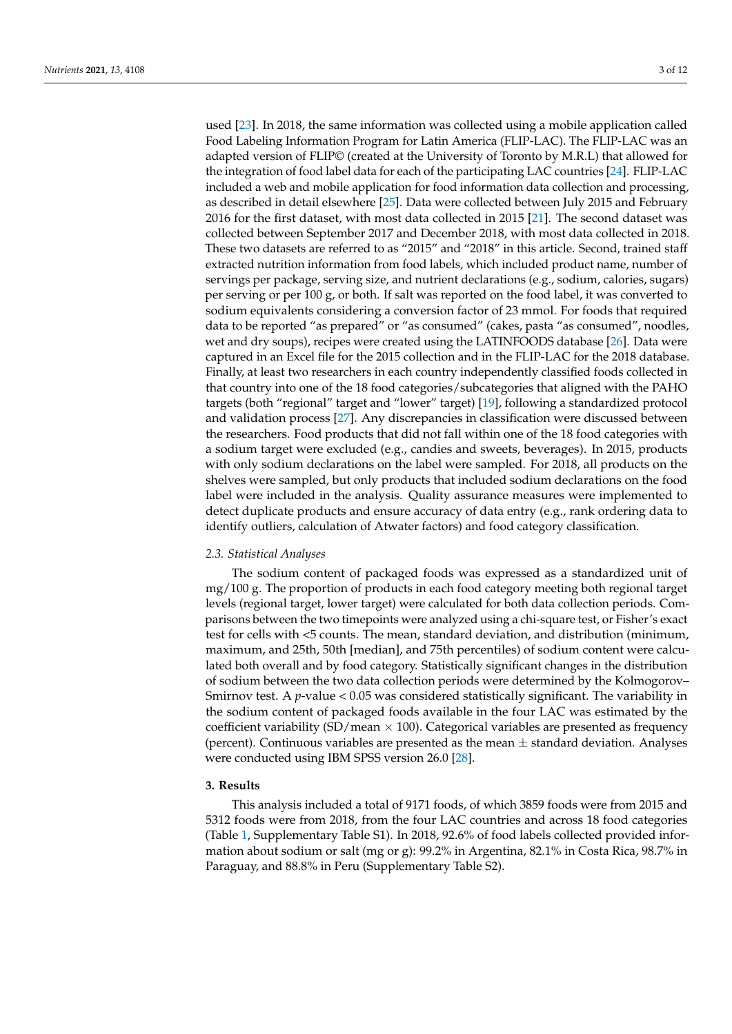used [\[23\]](#page-10-10). In 2018, the same information was collected using a mobile application called Food Labeling Information Program for Latin America (FLIP-LAC). The FLIP-LAC was an adapted version of FLIP© (created at the University of Toronto by M.R.L) that allowed for the integration of food label data for each of the participating LAC countries [\[24\]](#page-10-11). FLIP-LAC included a web and mobile application for food information data collection and processing, as described in detail elsewhere [\[25\]](#page-10-12). Data were collected between July 2015 and February 2016 for the first dataset, with most data collected in 2015 [\[21\]](#page-10-8). The second dataset was collected between September 2017 and December 2018, with most data collected in 2018. These two datasets are referred to as "2015" and "2018" in this article. Second, trained staff extracted nutrition information from food labels, which included product name, number of servings per package, serving size, and nutrient declarations (e.g., sodium, calories, sugars) per serving or per 100 g, or both. If salt was reported on the food label, it was converted to sodium equivalents considering a conversion factor of 23 mmol. For foods that required data to be reported "as prepared" or "as consumed" (cakes, pasta "as consumed", noodles, wet and dry soups), recipes were created using the LATINFOODS database [\[26\]](#page-10-13). Data were captured in an Excel file for the 2015 collection and in the FLIP-LAC for the 2018 database. Finally, at least two researchers in each country independently classified foods collected in that country into one of the 18 food categories/subcategories that aligned with the PAHO targets (both "regional" target and "lower" target) [\[19\]](#page-10-6), following a standardized protocol and validation process [\[27\]](#page-10-14). Any discrepancies in classification were discussed between the researchers. Food products that did not fall within one of the 18 food categories with a sodium target were excluded (e.g., candies and sweets, beverages). In 2015, products with only sodium declarations on the label were sampled. For 2018, all products on the shelves were sampled, but only products that included sodium declarations on the food label were included in the analysis. Quality assurance measures were implemented to detect duplicate products and ensure accuracy of data entry (e.g., rank ordering data to identify outliers, calculation of Atwater factors) and food category classification.

## *2.3. Statistical Analyses*

The sodium content of packaged foods was expressed as a standardized unit of mg/100 g. The proportion of products in each food category meeting both regional target levels (regional target, lower target) were calculated for both data collection periods. Comparisons between the two timepoints were analyzed using a chi-square test, or Fisher's exact test for cells with <5 counts. The mean, standard deviation, and distribution (minimum, maximum, and 25th, 50th [median], and 75th percentiles) of sodium content were calculated both overall and by food category. Statistically significant changes in the distribution of sodium between the two data collection periods were determined by the Kolmogorov– Smirnov test. A *p*-value < 0.05 was considered statistically significant. The variability in the sodium content of packaged foods available in the four LAC was estimated by the coefficient variability (SD/mean  $\times$  100). Categorical variables are presented as frequency (percent). Continuous variables are presented as the mean  $\pm$  standard deviation. Analyses were conducted using IBM SPSS version 26.0 [\[28\]](#page-10-15).

# **3. Results**

This analysis included a total of 9171 foods, of which 3859 foods were from 2015 and 5312 foods were from 2018, from the four LAC countries and across 18 food categories (Table [1,](#page-3-0) Supplementary Table S1). In 2018, 92.6% of food labels collected provided information about sodium or salt (mg or g): 99.2% in Argentina, 82.1% in Costa Rica, 98.7% in Paraguay, and 88.8% in Peru (Supplementary Table S2).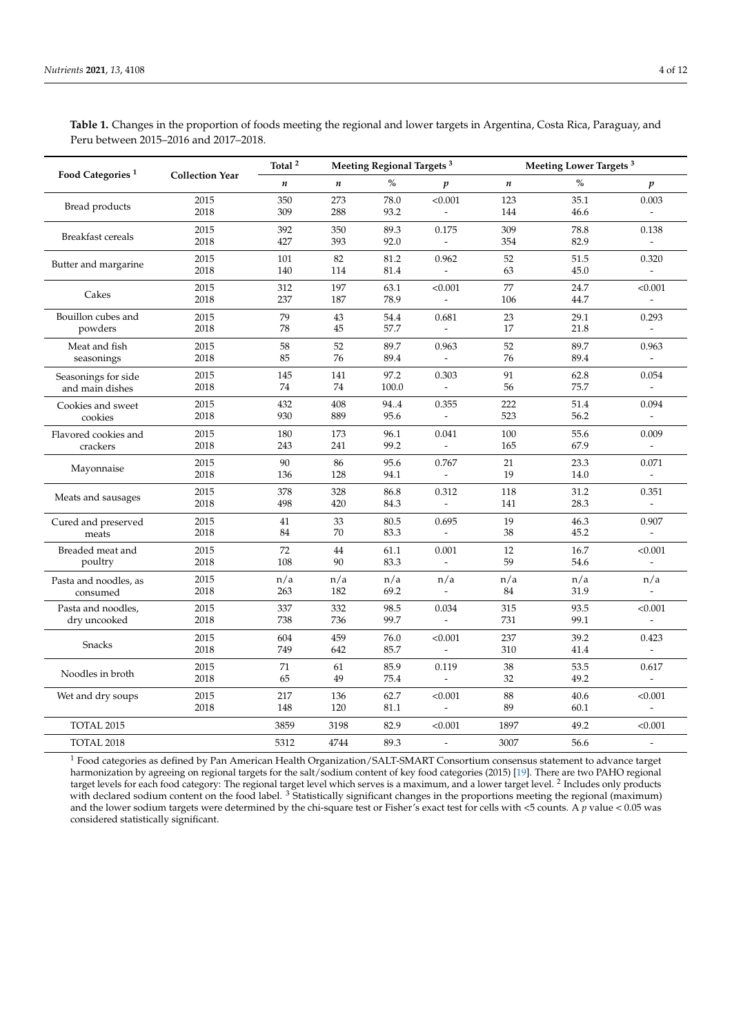|                                  | <b>Collection Year</b> | Total $^{\rm 2}$ |                  | Meeting Regional Targets <sup>3</sup> |                          | Meeting Lower Targets <sup>3</sup> |      |                          |  |
|----------------------------------|------------------------|------------------|------------------|---------------------------------------|--------------------------|------------------------------------|------|--------------------------|--|
| Food Categories <sup>1</sup>     |                        | $\boldsymbol{n}$ | $\boldsymbol{n}$ | $\%$                                  | p                        | $\boldsymbol{n}$                   | $\%$ | p                        |  |
|                                  | 2015                   | 350              | 273              | 78.0                                  | < 0.001                  | 123                                | 35.1 | 0.003                    |  |
| Bread products                   | 2018                   | 309              | 288              | 93.2                                  |                          | 144                                | 46.6 |                          |  |
| Breakfast cereals                | 2015                   | 392              | 350              | 89.3                                  | 0.175                    | 309                                | 78.8 | 0.138                    |  |
|                                  | 2018                   | 427              | 393              | 92.0                                  | $\overline{\phantom{a}}$ | 354                                | 82.9 | $\overline{\phantom{a}}$ |  |
| Butter and margarine             | 2015                   | 101              | 82               | 81.2                                  | 0.962                    | 52                                 | 51.5 | 0.320                    |  |
|                                  | 2018                   | 140              | 114              | 81.4                                  | $\overline{\phantom{a}}$ | 63                                 | 45.0 |                          |  |
| Cakes                            | 2015                   | 312              | 197              | 63.1                                  | < 0.001                  | 77                                 | 24.7 | < 0.001                  |  |
|                                  | 2018                   | 237              | 187              | 78.9                                  | $\overline{a}$           | 106                                | 44.7 |                          |  |
| Bouillon cubes and               | 2015                   | 79               | 43               | 54.4                                  | 0.681                    | 23                                 | 29.1 | 0.293                    |  |
| powders                          | 2018                   | 78               | 45               | 57.7                                  | $\overline{a}$           | 17                                 | 21.8 |                          |  |
| Meat and fish                    | 2015                   | 58               | 52               | 89.7                                  | 0.963                    | 52                                 | 89.7 | 0.963                    |  |
| seasonings                       | 2018                   | 85               | 76               | 89.4                                  | $\overline{a}$           | 76                                 | 89.4 |                          |  |
| Seasonings for side              | 2015                   | 145              | 141              | 97.2                                  | 0.303                    | 91                                 | 62.8 | 0.054                    |  |
| and main dishes                  | 2018                   | 74               | 74               | 100.0                                 |                          | 56                                 | 75.7 |                          |  |
| Cookies and sweet<br>cookies     | 2015                   | 432              | 408              | 944                                   | 0.355                    | 222                                | 51.4 | 0.094                    |  |
|                                  | 2018                   | 930              | 889              | 95.6                                  | $\overline{a}$           | 523                                | 56.2 |                          |  |
| Flavored cookies and<br>crackers | 2015                   | 180              | 173              | 96.1                                  | 0.041                    | 100                                | 55.6 | 0.009                    |  |
|                                  | 2018                   | 243              | 241              | 99.2                                  |                          | 165                                | 67.9 |                          |  |
|                                  | 2015                   | 90               | 86               | 95.6                                  | 0.767                    | 21                                 | 23.3 | 0.071                    |  |
| Mayonnaise                       | 2018                   | 136              | 128              | 94.1                                  |                          | 19                                 | 14.0 |                          |  |
|                                  | 2015                   | 378              | 328              | 86.8                                  | 0.312                    | 118                                | 31.2 | 0.351                    |  |
| Meats and sausages               | 2018                   | 498              | 420              | 84.3                                  |                          | 141                                | 28.3 |                          |  |
| Cured and preserved              | 2015                   | $41\,$           | 33               | 80.5                                  | 0.695                    | 19                                 | 46.3 | 0.907                    |  |
| meats                            | 2018                   | 84               | 70               | 83.3                                  |                          | 38                                 | 45.2 |                          |  |
| Breaded meat and                 | 2015                   | 72               | 44               | 61.1                                  | 0.001                    | 12                                 | 16.7 | < 0.001                  |  |
| poultry                          | 2018                   | 108              | 90               | 83.3                                  | $\bar{\phantom{a}}$      | 59                                 | 54.6 |                          |  |
| Pasta and noodles, as            | 2015                   | n/a              | n/a              | n/a                                   | n/a                      | n/a                                | n/a  | n/a                      |  |
| consumed                         | 2018                   | 263              | 182              | 69.2                                  | $\overline{\phantom{a}}$ | 84                                 | 31.9 |                          |  |
| Pasta and noodles,               | 2015                   | 337              | 332              | 98.5                                  | 0.034                    | 315                                | 93.5 | < 0.001                  |  |
| dry uncooked                     | 2018                   | 738              | 736              | 99.7                                  | $\overline{a}$           | 731                                | 99.1 |                          |  |
|                                  | 2015                   | 604              | 459              | 76.0                                  | < 0.001                  | 237                                | 39.2 | 0.423                    |  |
| Snacks                           | 2018                   | 749              | 642              | 85.7                                  | $\blacksquare$           | 310                                | 41.4 |                          |  |
|                                  | 2015                   | 71               | 61               | 85.9                                  | 0.119                    | 38                                 | 53.5 | 0.617                    |  |
| Noodles in broth                 | 2018                   | 65               | 49               | 75A                                   |                          | 32                                 | 492  |                          |  |

<span id="page-3-0"></span>**Table 1.** Changes in the proportion of foods meeting the regional and lower targets in Argentina, Costa Rica, Paraguay, and Peru between 2015–2016 and 2017–2018.

 $^1$  Food categories as defined by Pan American Health Organization/SALT-SMART Consortium consensus statement to advance target harmonization by agreeing on regional targets for the salt/sodium content of key food categories (2015) [\[19\]](#page-10-6). There are two PAHO regional target levels for each food category: The regional target level which serves is a maximum, and a lower target level. <sup>2</sup> Includes only products with declared sodium content on the food label. <sup>3</sup> Statistically significant changes in the proportions meeting the regional (maximum) and the lower sodium targets were determined by the chi-square test or Fisher's exact test for cells with <5 counts. A *p* value < 0.05 was considered statistically significant.

Wet and dry soups 2015 2017 136 62.7 <0.001 88 40.6 <0.001 40.6  $\leq 2018$  2018 148 120 81.1 - 89 60.1 -

TOTAL 2015 3859 3198 82.9 <0.001 1897 49.2 <0.001 TOTAL 2018 5312 4744 89.3 - 3007 56.6 -

2018 65 49 75.4 - 32 49.2 -

2018 148 120 81.1 - 89 60.1 -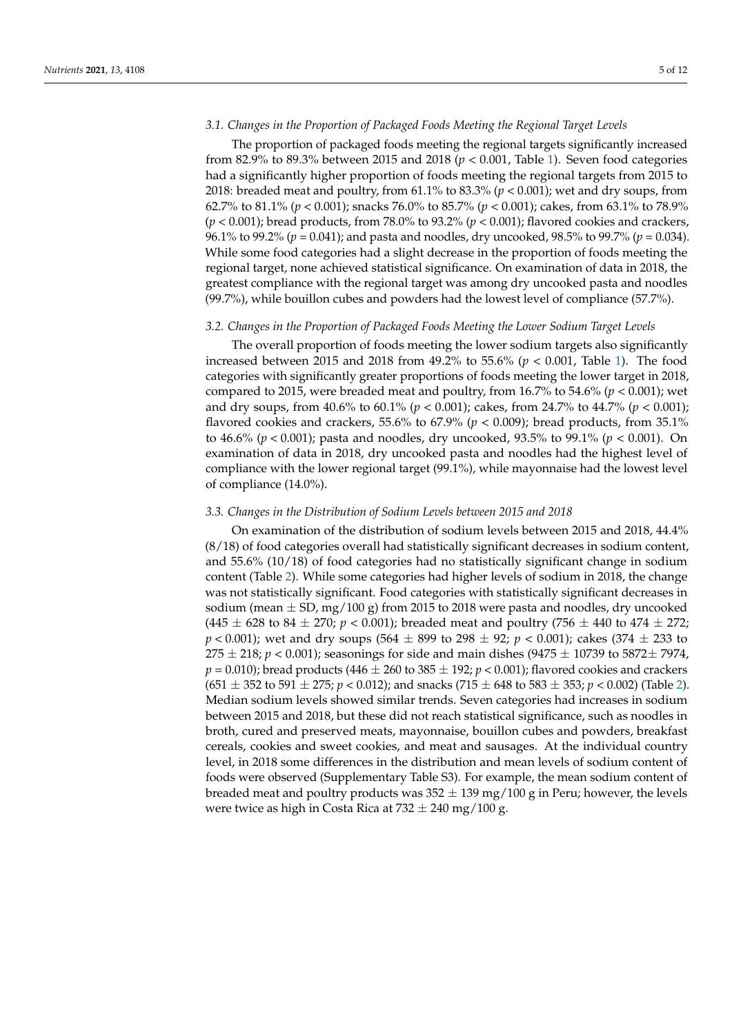# *3.1. Changes in the Proportion of Packaged Foods Meeting the Regional Target Levels*

The proportion of packaged foods meeting the regional targets significantly increased from 82.9% to 89.3% between 2015 and 2018 (*p* < 0.001, Table [1\)](#page-3-0). Seven food categories had a significantly higher proportion of foods meeting the regional targets from 2015 to 2018: breaded meat and poultry, from 61.1% to 83.3% (*p* < 0.001); wet and dry soups, from 62.7% to 81.1% (*p* < 0.001); snacks 76.0% to 85.7% (*p* < 0.001); cakes, from 63.1% to 78.9% (*p* < 0.001); bread products, from 78.0% to 93.2% (*p* < 0.001); flavored cookies and crackers, 96.1% to 99.2% (*p* = 0.041); and pasta and noodles, dry uncooked, 98.5% to 99.7% (*p* = 0.034). While some food categories had a slight decrease in the proportion of foods meeting the regional target, none achieved statistical significance. On examination of data in 2018, the greatest compliance with the regional target was among dry uncooked pasta and noodles (99.7%), while bouillon cubes and powders had the lowest level of compliance (57.7%).

## *3.2. Changes in the Proportion of Packaged Foods Meeting the Lower Sodium Target Levels*

The overall proportion of foods meeting the lower sodium targets also significantly increased between 2015 and 2018 from 49.2% to 55.6% (*p* < 0.001, Table [1\)](#page-3-0). The food categories with significantly greater proportions of foods meeting the lower target in 2018, compared to 2015, were breaded meat and poultry, from 16.7% to 54.6% (*p* < 0.001); wet and dry soups, from 40.6% to 60.1% (*p* < 0.001); cakes, from 24.7% to 44.7% (*p* < 0.001); flavored cookies and crackers, 55.6% to 67.9% ( $p < 0.009$ ); bread products, from 35.1% to 46.6% (*p* < 0.001); pasta and noodles, dry uncooked, 93.5% to 99.1% (*p* < 0.001). On examination of data in 2018, dry uncooked pasta and noodles had the highest level of compliance with the lower regional target (99.1%), while mayonnaise had the lowest level of compliance (14.0%).

# *3.3. Changes in the Distribution of Sodium Levels between 2015 and 2018*

On examination of the distribution of sodium levels between 2015 and 2018, 44.4% (8/18) of food categories overall had statistically significant decreases in sodium content, and 55.6% (10/18) of food categories had no statistically significant change in sodium content (Table [2\)](#page-5-0). While some categories had higher levels of sodium in 2018, the change was not statistically significant. Food categories with statistically significant decreases in sodium (mean  $\pm$  SD, mg/100 g) from 2015 to 2018 were pasta and noodles, dry uncooked  $(445 \pm 628 \text{ to } 84 \pm 270; p < 0.001)$ ; breaded meat and poultry (756  $\pm$  440 to 474  $\pm$  272; *p* < 0.001); wet and dry soups (564  $\pm$  899 to 298  $\pm$  92; *p* < 0.001); cakes (374  $\pm$  233 to  $275 \pm 218$ ;  $p < 0.001$ ); seasonings for side and main dishes (9475  $\pm$  10739 to 5872 $\pm$  7974,  $p = 0.010$ ); bread products (446  $\pm$  260 to 385  $\pm$  192;  $p < 0.001$ ); flavored cookies and crackers  $(651 \pm 352 \text{ to } 591 \pm 275; p < 0.012)$  $(651 \pm 352 \text{ to } 591 \pm 275; p < 0.012)$ ; and snacks  $(715 \pm 648 \text{ to } 583 \pm 353; p < 0.002)$  (Table 2). Median sodium levels showed similar trends. Seven categories had increases in sodium between 2015 and 2018, but these did not reach statistical significance, such as noodles in broth, cured and preserved meats, mayonnaise, bouillon cubes and powders, breakfast cereals, cookies and sweet cookies, and meat and sausages. At the individual country level, in 2018 some differences in the distribution and mean levels of sodium content of foods were observed (Supplementary Table S3). For example, the mean sodium content of breaded meat and poultry products was  $352 \pm 139$  mg/100 g in Peru; however, the levels were twice as high in Costa Rica at  $732 \pm 240$  mg/100 g.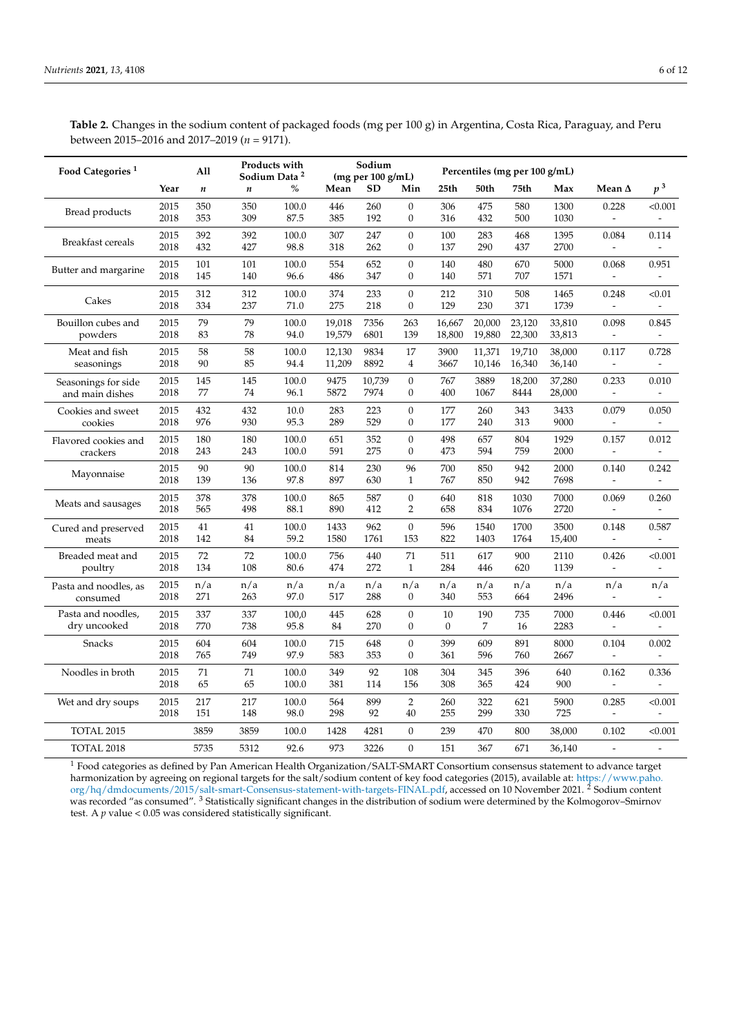<span id="page-5-0"></span>**Table 2.** Changes in the sodium content of packaged foods (mg per 100 g) in Argentina, Costa Rica, Paraguay, and Peru between 2015–2016 and 2017–2019 (*n* = 9171).

| Food Categories <sup>1</sup>           |              | All              | Products with<br>Sodium Data <sup>2</sup> |                | Sodium<br>(mg per 100 g/mL) |                |                                      | Percentiles (mg per 100 g/mL) |                  |                  |                  |                                   |                                   |
|----------------------------------------|--------------|------------------|-------------------------------------------|----------------|-----------------------------|----------------|--------------------------------------|-------------------------------|------------------|------------------|------------------|-----------------------------------|-----------------------------------|
|                                        | Year         | $\boldsymbol{n}$ | $\boldsymbol{n}$                          | $\%$           | Mean                        | <b>SD</b>      | Min                                  | 25th                          | 50th             | 75th             | Max              | Mean $\Delta$                     | $p^{\,3}$                         |
| Bread products                         | 2015<br>2018 | 350<br>353       | 350<br>309                                | 100.0<br>87.5  | 446<br>385                  | 260<br>192     | $\overline{0}$<br>$\boldsymbol{0}$   | 306<br>316                    | 475<br>432       | 580<br>500       | 1300<br>1030     | 0.228                             | < 0.001                           |
| <b>Breakfast cereals</b>               | 2015<br>2018 | 392<br>432       | 392<br>427                                | 100.0<br>98.8  | 307<br>318                  | 247<br>262     | $\mathbf{0}$<br>$\boldsymbol{0}$     | 100<br>137                    | 283<br>290       | 468<br>437       | 1395<br>2700     | 0.084                             | 0.114                             |
| Butter and margarine                   | 2015<br>2018 | 101<br>145       | 101<br>140                                | 100.0<br>96.6  | 554<br>486                  | 652<br>347     | $\overline{0}$<br>$\boldsymbol{0}$   | 140<br>140                    | 480<br>571       | 670<br>707       | 5000<br>1571     | 0.068<br>$\overline{\phantom{a}}$ | 0.951<br>$\overline{\phantom{a}}$ |
| Cakes                                  | 2015<br>2018 | 312<br>334       | 312<br>237                                | 100.0<br>71.0  | 374<br>275                  | 233<br>218     | $\boldsymbol{0}$<br>$\mathbf{0}$     | 212<br>129                    | 310<br>230       | 508<br>371       | 1465<br>1739     | 0.248                             | < 0.01                            |
| Bouillon cubes and<br>powders          | 2015<br>2018 | 79<br>83         | 79<br>78                                  | 100.0<br>94.0  | 19,018<br>19,579            | 7356<br>6801   | 263<br>139                           | 16,667<br>18,800              | 20,000<br>19,880 | 23,120<br>22,300 | 33,810<br>33,813 | 0.098                             | 0.845                             |
| Meat and fish<br>seasonings            | 2015<br>2018 | 58<br>90         | 58<br>85                                  | 100.0<br>94.4  | 12,130<br>11,209            | 9834<br>8892   | 17<br>4                              | 3900<br>3667                  | 11,371<br>10,146 | 19,710<br>16,340 | 38,000<br>36,140 | 0.117                             | 0.728                             |
| Seasonings for side<br>and main dishes | 2015<br>2018 | 145<br>77        | 145<br>74                                 | 100.0<br>96.1  | 9475<br>5872                | 10,739<br>7974 | $\boldsymbol{0}$<br>$\mathbf{0}$     | 767<br>400                    | 3889<br>1067     | 18,200<br>8444   | 37,280<br>28,000 | 0.233<br>$\overline{\phantom{a}}$ | 0.010                             |
| Cookies and sweet<br>cookies           | 2015<br>2018 | 432<br>976       | 432<br>930                                | 10.0<br>95.3   | 283<br>289                  | 223<br>529     | $\boldsymbol{0}$<br>$\boldsymbol{0}$ | 177<br>177                    | 260<br>240       | 343<br>313       | 3433<br>9000     | 0.079                             | 0.050                             |
| Flavored cookies and<br>crackers       | 2015<br>2018 | 180<br>243       | 180<br>243                                | 100.0<br>100.0 | 651<br>591                  | 352<br>275     | $\overline{0}$<br>$\boldsymbol{0}$   | 498<br>473                    | 657<br>594       | 804<br>759       | 1929<br>2000     | 0.157                             | 0.012                             |
| Mayonnaise                             | 2015<br>2018 | 90<br>139        | 90<br>136                                 | 100.0<br>97.8  | 814<br>897                  | 230<br>630     | 96<br>$\mathbf{1}$                   | 700<br>767                    | 850<br>850       | 942<br>942       | 2000<br>7698     | 0.140<br>$\overline{\phantom{a}}$ | 0.242                             |
| Meats and sausages                     | 2015<br>2018 | 378<br>565       | 378<br>498                                | 100.0<br>88.1  | 865<br>890                  | 587<br>412     | $\boldsymbol{0}$<br>$\overline{2}$   | 640<br>658                    | 818<br>834       | 1030<br>1076     | 7000<br>2720     | 0.069                             | 0.260                             |
| Cured and preserved<br>meats           | 2015<br>2018 | 41<br>142        | 41<br>84                                  | 100.0<br>59.2  | 1433<br>1580                | 962<br>1761    | $\mathbf{0}$<br>153                  | 596<br>822                    | 1540<br>1403     | 1700<br>1764     | 3500<br>15,400   | 0.148                             | 0.587                             |
| Breaded meat and<br>poultry            | 2015<br>2018 | 72<br>134        | 72<br>108                                 | 100.0<br>80.6  | 756<br>474                  | 440<br>272     | 71<br>$\mathbf{1}$                   | 511<br>284                    | 617<br>446       | 900<br>620       | 2110<br>1139     | 0.426<br>$\overline{\phantom{a}}$ | < 0.001                           |
| Pasta and noodles, as<br>consumed      | 2015<br>2018 | n/a<br>271       | n/a<br>263                                | n/a<br>97.0    | n/a<br>517                  | n/a<br>288     | n/a<br>0                             | n/a<br>340                    | n/a<br>553       | n/a<br>664       | n/a<br>2496      | n/a                               | n/a                               |
| Pasta and noodles,<br>dry uncooked     | 2015<br>2018 | 337<br>770       | 337<br>738                                | 100,0<br>95.8  | 445<br>84                   | 628<br>270     | $\mathbf{0}$<br>$\mathbf{0}$         | 10<br>$\mathbf{0}$            | 190<br>7         | 735<br>16        | 7000<br>2283     | 0.446<br>$\overline{\phantom{a}}$ | < 0.001                           |
| Snacks                                 | 2015<br>2018 | 604<br>765       | 604<br>749                                | 100.0<br>97.9  | 715<br>583                  | 648<br>353     | $\theta$<br>$\boldsymbol{0}$         | 399<br>361                    | 609<br>596       | 891<br>760       | 8000<br>2667     | 0.104<br>$\blacksquare$           | 0.002                             |
| Noodles in broth                       | 2015<br>2018 | 71<br>65         | 71<br>65                                  | 100.0<br>100.0 | 349<br>381                  | 92<br>114      | 108<br>156                           | 304<br>308                    | 345<br>365       | 396<br>424       | 640<br>900       | 0.162                             | 0.336                             |
| Wet and dry soups                      | 2015<br>2018 | 217<br>151       | 217<br>148                                | 100.0<br>98.0  | 564<br>298                  | 899<br>92      | 2<br>40                              | 260<br>255                    | 322<br>299       | 621<br>330       | 5900<br>725      | 0.285<br>$\overline{a}$           | < 0.001                           |
| TOTAL 2015                             |              | 3859             | 3859                                      | 100.0          | 1428                        | 4281           | $\boldsymbol{0}$                     | 239                           | 470              | 800              | 38,000           | 0.102                             | < 0.001                           |
| TOTAL 2018                             |              | 5735             | 5312                                      | 92.6           | 973                         | 3226           | $\overline{0}$                       | 151                           | 367              | 671              | 36,140           |                                   |                                   |

<sup>1</sup> Food categories as defined by Pan American Health Organization/SALT-SMART Consortium consensus statement to advance target harmonization by agreeing on regional targets for the salt/sodium content of key food categories (2015), available at: [https://www.paho.](https://www.paho.org/hq/dmdocuments/2015/salt-smart-Consensus-statement-with-targets-FINAL.pdf) [org/hq/dmdocuments/2015/salt-smart-Consensus-statement-with-targets-FINAL.pdf,](https://www.paho.org/hq/dmdocuments/2015/salt-smart-Consensus-statement-with-targets-FINAL.pdf) accessed on 10 November 2021. <sup>2</sup> Sodium content was recorded "as consumed". <sup>3</sup> Statistically significant changes in the distribution of sodium were determined by the Kolmogorov-Smirnov test. A *p* value < 0.05 was considered statistically significant.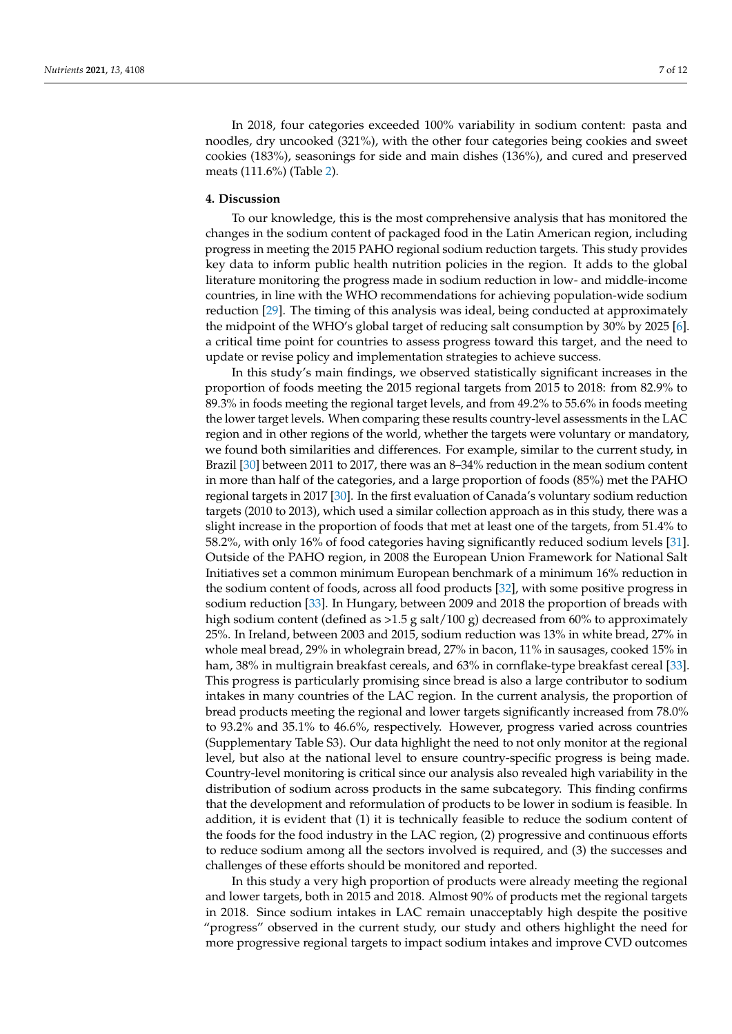In 2018, four categories exceeded 100% variability in sodium content: pasta and noodles, dry uncooked (321%), with the other four categories being cookies and sweet cookies (183%), seasonings for side and main dishes (136%), and cured and preserved meats (111.6%) (Table [2\)](#page-5-0).

# **4. Discussion**

To our knowledge, this is the most comprehensive analysis that has monitored the changes in the sodium content of packaged food in the Latin American region, including progress in meeting the 2015 PAHO regional sodium reduction targets. This study provides key data to inform public health nutrition policies in the region. It adds to the global literature monitoring the progress made in sodium reduction in low- and middle-income countries, in line with the WHO recommendations for achieving population-wide sodium reduction [\[29\]](#page-10-16). The timing of this analysis was ideal, being conducted at approximately the midpoint of the WHO's global target of reducing salt consumption by 30% by 2025 [\[6\]](#page-9-3). a critical time point for countries to assess progress toward this target, and the need to update or revise policy and implementation strategies to achieve success.

In this study's main findings, we observed statistically significant increases in the proportion of foods meeting the 2015 regional targets from 2015 to 2018: from 82.9% to 89.3% in foods meeting the regional target levels, and from 49.2% to 55.6% in foods meeting the lower target levels. When comparing these results country-level assessments in the LAC region and in other regions of the world, whether the targets were voluntary or mandatory, we found both similarities and differences. For example, similar to the current study, in Brazil [\[30\]](#page-10-17) between 2011 to 2017, there was an 8–34% reduction in the mean sodium content in more than half of the categories, and a large proportion of foods (85%) met the PAHO regional targets in 2017 [\[30\]](#page-10-17). In the first evaluation of Canada's voluntary sodium reduction targets (2010 to 2013), which used a similar collection approach as in this study, there was a slight increase in the proportion of foods that met at least one of the targets, from 51.4% to 58.2%, with only 16% of food categories having significantly reduced sodium levels [\[31\]](#page-10-18). Outside of the PAHO region, in 2008 the European Union Framework for National Salt Initiatives set a common minimum European benchmark of a minimum 16% reduction in the sodium content of foods, across all food products [\[32\]](#page-10-19), with some positive progress in sodium reduction [\[33\]](#page-10-20). In Hungary, between 2009 and 2018 the proportion of breads with high sodium content (defined as  $>1.5$  g salt/100 g) decreased from 60% to approximately 25%. In Ireland, between 2003 and 2015, sodium reduction was 13% in white bread, 27% in whole meal bread, 29% in wholegrain bread, 27% in bacon, 11% in sausages, cooked 15% in ham, 38% in multigrain breakfast cereals, and 63% in cornflake-type breakfast cereal [\[33\]](#page-10-20). This progress is particularly promising since bread is also a large contributor to sodium intakes in many countries of the LAC region. In the current analysis, the proportion of bread products meeting the regional and lower targets significantly increased from 78.0% to 93.2% and 35.1% to 46.6%, respectively. However, progress varied across countries (Supplementary Table S3). Our data highlight the need to not only monitor at the regional level, but also at the national level to ensure country-specific progress is being made. Country-level monitoring is critical since our analysis also revealed high variability in the distribution of sodium across products in the same subcategory. This finding confirms that the development and reformulation of products to be lower in sodium is feasible. In addition, it is evident that (1) it is technically feasible to reduce the sodium content of the foods for the food industry in the LAC region, (2) progressive and continuous efforts to reduce sodium among all the sectors involved is required, and (3) the successes and challenges of these efforts should be monitored and reported.

In this study a very high proportion of products were already meeting the regional and lower targets, both in 2015 and 2018. Almost 90% of products met the regional targets in 2018. Since sodium intakes in LAC remain unacceptably high despite the positive "progress" observed in the current study, our study and others highlight the need for more progressive regional targets to impact sodium intakes and improve CVD outcomes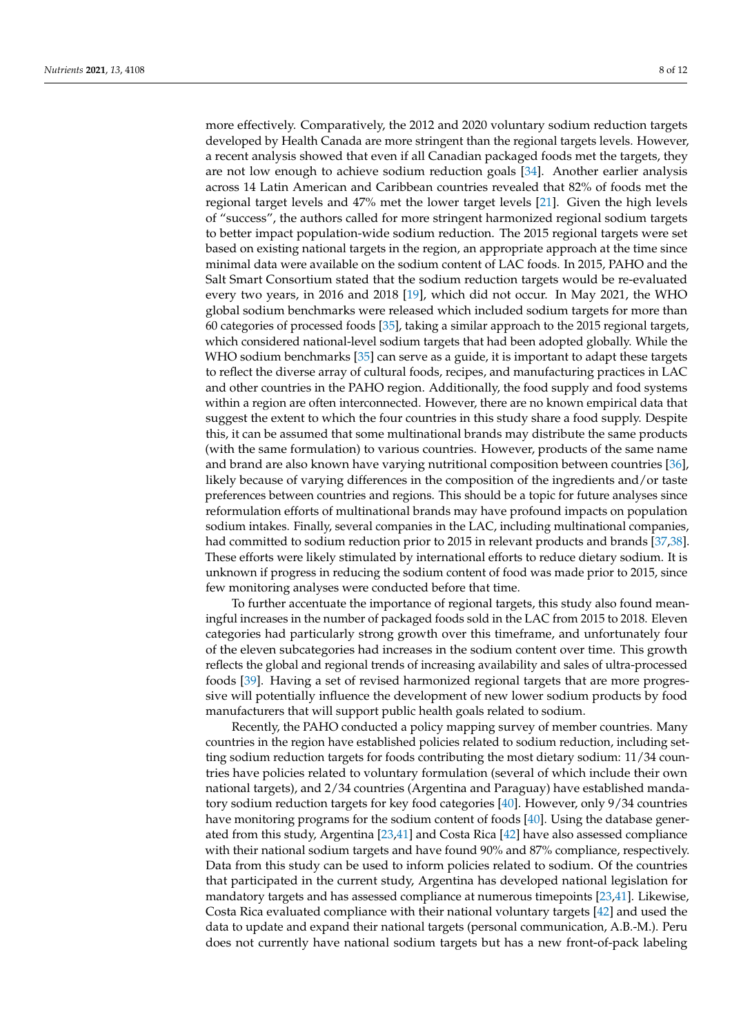more effectively. Comparatively, the 2012 and 2020 voluntary sodium reduction targets developed by Health Canada are more stringent than the regional targets levels. However, a recent analysis showed that even if all Canadian packaged foods met the targets, they are not low enough to achieve sodium reduction goals [\[34\]](#page-10-21). Another earlier analysis across 14 Latin American and Caribbean countries revealed that 82% of foods met the regional target levels and 47% met the lower target levels [\[21\]](#page-10-8). Given the high levels of "success", the authors called for more stringent harmonized regional sodium targets to better impact population-wide sodium reduction. The 2015 regional targets were set based on existing national targets in the region, an appropriate approach at the time since minimal data were available on the sodium content of LAC foods. In 2015, PAHO and the Salt Smart Consortium stated that the sodium reduction targets would be re-evaluated every two years, in 2016 and 2018 [\[19\]](#page-10-6), which did not occur. In May 2021, the WHO global sodium benchmarks were released which included sodium targets for more than 60 categories of processed foods [\[35\]](#page-10-22), taking a similar approach to the 2015 regional targets, which considered national-level sodium targets that had been adopted globally. While the WHO sodium benchmarks [\[35\]](#page-10-22) can serve as a guide, it is important to adapt these targets to reflect the diverse array of cultural foods, recipes, and manufacturing practices in LAC and other countries in the PAHO region. Additionally, the food supply and food systems within a region are often interconnected. However, there are no known empirical data that suggest the extent to which the four countries in this study share a food supply. Despite this, it can be assumed that some multinational brands may distribute the same products (with the same formulation) to various countries. However, products of the same name and brand are also known have varying nutritional composition between countries [\[36\]](#page-10-23), likely because of varying differences in the composition of the ingredients and/or taste preferences between countries and regions. This should be a topic for future analyses since reformulation efforts of multinational brands may have profound impacts on population sodium intakes. Finally, several companies in the LAC, including multinational companies, had committed to sodium reduction prior to 2015 in relevant products and brands [\[37](#page-11-0)[,38\]](#page-11-1). These efforts were likely stimulated by international efforts to reduce dietary sodium. It is unknown if progress in reducing the sodium content of food was made prior to 2015, since few monitoring analyses were conducted before that time.

To further accentuate the importance of regional targets, this study also found meaningful increases in the number of packaged foods sold in the LAC from 2015 to 2018. Eleven categories had particularly strong growth over this timeframe, and unfortunately four of the eleven subcategories had increases in the sodium content over time. This growth reflects the global and regional trends of increasing availability and sales of ultra-processed foods [\[39\]](#page-11-2). Having a set of revised harmonized regional targets that are more progressive will potentially influence the development of new lower sodium products by food manufacturers that will support public health goals related to sodium.

Recently, the PAHO conducted a policy mapping survey of member countries. Many countries in the region have established policies related to sodium reduction, including setting sodium reduction targets for foods contributing the most dietary sodium: 11/34 countries have policies related to voluntary formulation (several of which include their own national targets), and 2/34 countries (Argentina and Paraguay) have established mandatory sodium reduction targets for key food categories [\[40\]](#page-11-3). However, only 9/34 countries have monitoring programs for the sodium content of foods [\[40\]](#page-11-3). Using the database generated from this study, Argentina [\[23,](#page-10-10)[41\]](#page-11-4) and Costa Rica [\[42\]](#page-11-5) have also assessed compliance with their national sodium targets and have found 90% and 87% compliance, respectively. Data from this study can be used to inform policies related to sodium. Of the countries that participated in the current study, Argentina has developed national legislation for mandatory targets and has assessed compliance at numerous timepoints [\[23](#page-10-10)[,41\]](#page-11-4). Likewise, Costa Rica evaluated compliance with their national voluntary targets [\[42\]](#page-11-5) and used the data to update and expand their national targets (personal communication, A.B.-M.). Peru does not currently have national sodium targets but has a new front-of-pack labeling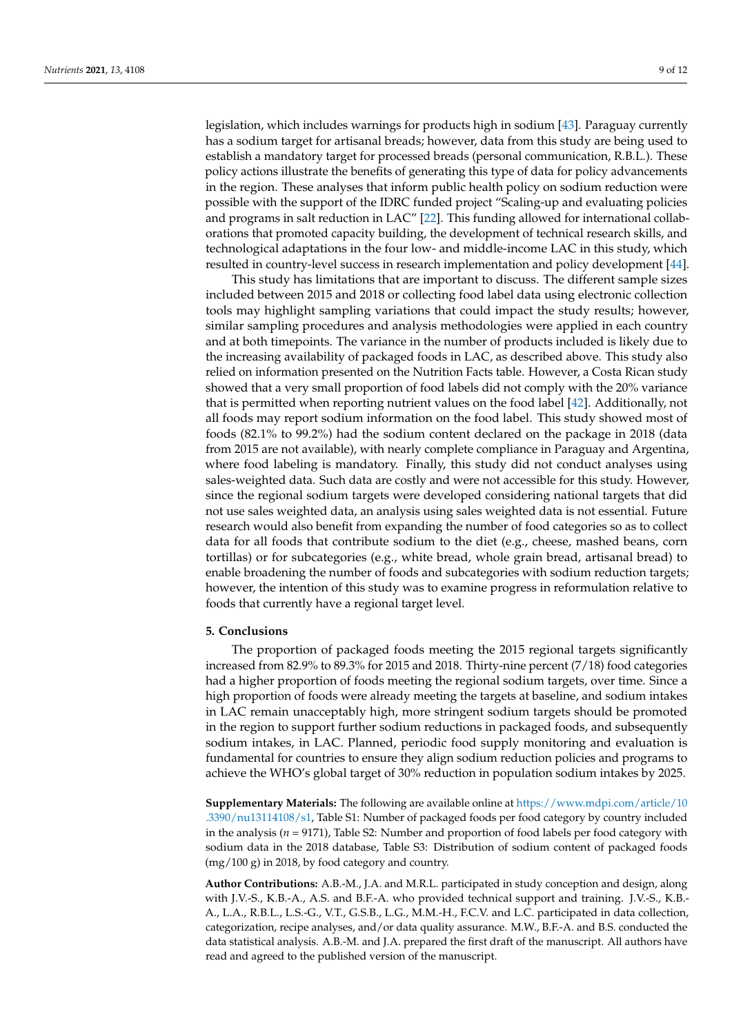legislation, which includes warnings for products high in sodium [\[43\]](#page-11-6). Paraguay currently has a sodium target for artisanal breads; however, data from this study are being used to establish a mandatory target for processed breads (personal communication, R.B.L.). These policy actions illustrate the benefits of generating this type of data for policy advancements in the region. These analyses that inform public health policy on sodium reduction were possible with the support of the IDRC funded project "Scaling-up and evaluating policies and programs in salt reduction in LAC" [\[22\]](#page-10-9). This funding allowed for international collaborations that promoted capacity building, the development of technical research skills, and technological adaptations in the four low- and middle-income LAC in this study, which resulted in country-level success in research implementation and policy development [\[44\]](#page-11-7).

This study has limitations that are important to discuss. The different sample sizes included between 2015 and 2018 or collecting food label data using electronic collection tools may highlight sampling variations that could impact the study results; however, similar sampling procedures and analysis methodologies were applied in each country and at both timepoints. The variance in the number of products included is likely due to the increasing availability of packaged foods in LAC, as described above. This study also relied on information presented on the Nutrition Facts table. However, a Costa Rican study showed that a very small proportion of food labels did not comply with the 20% variance that is permitted when reporting nutrient values on the food label [\[42\]](#page-11-5). Additionally, not all foods may report sodium information on the food label. This study showed most of foods (82.1% to 99.2%) had the sodium content declared on the package in 2018 (data from 2015 are not available), with nearly complete compliance in Paraguay and Argentina, where food labeling is mandatory. Finally, this study did not conduct analyses using sales-weighted data. Such data are costly and were not accessible for this study. However, since the regional sodium targets were developed considering national targets that did not use sales weighted data, an analysis using sales weighted data is not essential. Future research would also benefit from expanding the number of food categories so as to collect data for all foods that contribute sodium to the diet (e.g., cheese, mashed beans, corn tortillas) or for subcategories (e.g., white bread, whole grain bread, artisanal bread) to enable broadening the number of foods and subcategories with sodium reduction targets; however, the intention of this study was to examine progress in reformulation relative to foods that currently have a regional target level.

### **5. Conclusions**

The proportion of packaged foods meeting the 2015 regional targets significantly increased from 82.9% to 89.3% for 2015 and 2018. Thirty-nine percent (7/18) food categories had a higher proportion of foods meeting the regional sodium targets, over time. Since a high proportion of foods were already meeting the targets at baseline, and sodium intakes in LAC remain unacceptably high, more stringent sodium targets should be promoted in the region to support further sodium reductions in packaged foods, and subsequently sodium intakes, in LAC. Planned, periodic food supply monitoring and evaluation is fundamental for countries to ensure they align sodium reduction policies and programs to achieve the WHO's global target of 30% reduction in population sodium intakes by 2025.

**Supplementary Materials:** The following are available online at [https://www.mdpi.com/article/10](https://www.mdpi.com/article/10.3390/nu13114108/s1) [.3390/nu13114108/s1,](https://www.mdpi.com/article/10.3390/nu13114108/s1) Table S1: Number of packaged foods per food category by country included in the analysis (*n* = 9171), Table S2: Number and proportion of food labels per food category with sodium data in the 2018 database, Table S3: Distribution of sodium content of packaged foods (mg/100 g) in 2018, by food category and country.

**Author Contributions:** A.B.-M., J.A. and M.R.L. participated in study conception and design, along with J.V.-S., K.B.-A., A.S. and B.F.-A. who provided technical support and training. J.V.-S., K.B.- A., L.A., R.B.L., L.S.-G., V.T., G.S.B., L.G., M.M.-H., F.C.V. and L.C. participated in data collection, categorization, recipe analyses, and/or data quality assurance. M.W., B.F.-A. and B.S. conducted the data statistical analysis. A.B.-M. and J.A. prepared the first draft of the manuscript. All authors have read and agreed to the published version of the manuscript.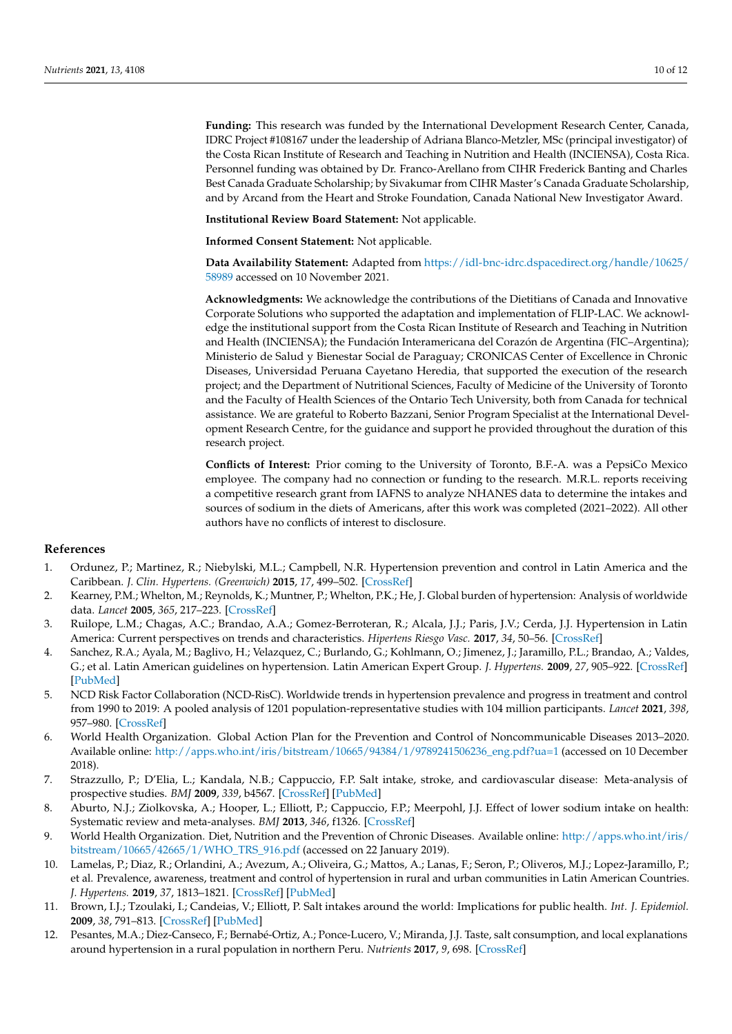**Funding:** This research was funded by the International Development Research Center, Canada, IDRC Project #108167 under the leadership of Adriana Blanco-Metzler, MSc (principal investigator) of the Costa Rican Institute of Research and Teaching in Nutrition and Health (INCIENSA), Costa Rica. Personnel funding was obtained by Dr. Franco-Arellano from CIHR Frederick Banting and Charles Best Canada Graduate Scholarship; by Sivakumar from CIHR Master's Canada Graduate Scholarship, and by Arcand from the Heart and Stroke Foundation, Canada National New Investigator Award.

**Institutional Review Board Statement:** Not applicable.

**Informed Consent Statement:** Not applicable.

**Data Availability Statement:** Adapted from [https://idl-bnc-idrc.dspacedirect.org/handle/10625/](https://idl-bnc-idrc.dspacedirect.org/handle/10625/58989) [58989](https://idl-bnc-idrc.dspacedirect.org/handle/10625/58989) accessed on 10 November 2021.

**Acknowledgments:** We acknowledge the contributions of the Dietitians of Canada and Innovative Corporate Solutions who supported the adaptation and implementation of FLIP-LAC. We acknowledge the institutional support from the Costa Rican Institute of Research and Teaching in Nutrition and Health (INCIENSA); the Fundación Interamericana del Corazón de Argentina (FIC–Argentina); Ministerio de Salud y Bienestar Social de Paraguay; CRONICAS Center of Excellence in Chronic Diseases, Universidad Peruana Cayetano Heredia, that supported the execution of the research project; and the Department of Nutritional Sciences, Faculty of Medicine of the University of Toronto and the Faculty of Health Sciences of the Ontario Tech University, both from Canada for technical assistance. We are grateful to Roberto Bazzani, Senior Program Specialist at the International Development Research Centre, for the guidance and support he provided throughout the duration of this research project.

**Conflicts of Interest:** Prior coming to the University of Toronto, B.F.-A. was a PepsiCo Mexico employee. The company had no connection or funding to the research. M.R.L. reports receiving a competitive research grant from IAFNS to analyze NHANES data to determine the intakes and sources of sodium in the diets of Americans, after this work was completed (2021–2022). All other authors have no conflicts of interest to disclosure.

# **References**

- <span id="page-9-0"></span>1. Ordunez, P.; Martinez, R.; Niebylski, M.L.; Campbell, N.R. Hypertension prevention and control in Latin America and the Caribbean. *J. Clin. Hypertens. (Greenwich)* **2015**, *17*, 499–502. [\[CrossRef\]](http://doi.org/10.1111/jch.12518)
- <span id="page-9-1"></span>2. Kearney, P.M.; Whelton, M.; Reynolds, K.; Muntner, P.; Whelton, P.K.; He, J. Global burden of hypertension: Analysis of worldwide data. *Lancet* **2005**, *365*, 217–223. [\[CrossRef\]](http://doi.org/10.1016/S0140-6736(05)17741-1)
- 3. Ruilope, L.M.; Chagas, A.C.; Brandao, A.A.; Gomez-Berroteran, R.; Alcala, J.J.; Paris, J.V.; Cerda, J.J. Hypertension in Latin America: Current perspectives on trends and characteristics. *Hipertens Riesgo Vasc.* **2017**, *34*, 50–56. [\[CrossRef\]](http://doi.org/10.1016/j.hipert.2016.11.005)
- 4. Sanchez, R.A.; Ayala, M.; Baglivo, H.; Velazquez, C.; Burlando, G.; Kohlmann, O.; Jimenez, J.; Jaramillo, P.L.; Brandao, A.; Valdes, G.; et al. Latin American guidelines on hypertension. Latin American Expert Group. *J. Hypertens.* **2009**, *27*, 905–922. [\[CrossRef\]](http://doi.org/10.1097/HJH.0b013e32832aa6d2) [\[PubMed\]](http://www.ncbi.nlm.nih.gov/pubmed/19349909)
- <span id="page-9-2"></span>5. NCD Risk Factor Collaboration (NCD-RisC). Worldwide trends in hypertension prevalence and progress in treatment and control from 1990 to 2019: A pooled analysis of 1201 population-representative studies with 104 million participants. *Lancet* **2021**, *398*, 957–980. [\[CrossRef\]](http://doi.org/10.1016/S0140-6736(21)01330-1)
- <span id="page-9-3"></span>6. World Health Organization. Global Action Plan for the Prevention and Control of Noncommunicable Diseases 2013–2020. Available online: [http://apps.who.int/iris/bitstream/10665/94384/1/9789241506236\\_eng.pdf?ua=1](http://apps.who.int/iris/bitstream/10665/94384/1/9789241506236_eng.pdf?ua=1) (accessed on 10 December 2018).
- <span id="page-9-4"></span>7. Strazzullo, P.; D'Elia, L.; Kandala, N.B.; Cappuccio, F.P. Salt intake, stroke, and cardiovascular disease: Meta-analysis of prospective studies. *BMJ* **2009**, *339*, b4567. [\[CrossRef\]](http://doi.org/10.1136/bmj.b4567) [\[PubMed\]](http://www.ncbi.nlm.nih.gov/pubmed/19934192)
- <span id="page-9-5"></span>8. Aburto, N.J.; Ziolkovska, A.; Hooper, L.; Elliott, P.; Cappuccio, F.P.; Meerpohl, J.J. Effect of lower sodium intake on health: Systematic review and meta-analyses. *BMJ* **2013**, *346*, f1326. [\[CrossRef\]](http://doi.org/10.1136/bmj.f1326)
- <span id="page-9-6"></span>9. World Health Organization. Diet, Nutrition and the Prevention of Chronic Diseases. Available online: [http://apps.who.int/iris/](http://apps.who.int/iris/bitstream/10665/42665/1/WHO_TRS_916.pdf) [bitstream/10665/42665/1/WHO\\_TRS\\_916.pdf](http://apps.who.int/iris/bitstream/10665/42665/1/WHO_TRS_916.pdf) (accessed on 22 January 2019).
- <span id="page-9-7"></span>10. Lamelas, P.; Diaz, R.; Orlandini, A.; Avezum, A.; Oliveira, G.; Mattos, A.; Lanas, F.; Seron, P.; Oliveros, M.J.; Lopez-Jaramillo, P.; et al. Prevalence, awareness, treatment and control of hypertension in rural and urban communities in Latin American Countries. *J. Hypertens.* **2019**, *37*, 1813–1821. [\[CrossRef\]](http://doi.org/10.1097/HJH.0000000000002108) [\[PubMed\]](http://www.ncbi.nlm.nih.gov/pubmed/30964825)
- 11. Brown, I.J.; Tzoulaki, I.; Candeias, V.; Elliott, P. Salt intakes around the world: Implications for public health. *Int. J. Epidemiol.* **2009**, *38*, 791–813. [\[CrossRef\]](http://doi.org/10.1093/ije/dyp139) [\[PubMed\]](http://www.ncbi.nlm.nih.gov/pubmed/19351697)
- <span id="page-9-8"></span>12. Pesantes, M.A.; Diez-Canseco, F.; Bernabé-Ortiz, A.; Ponce-Lucero, V.; Miranda, J.J. Taste, salt consumption, and local explanations around hypertension in a rural population in northern Peru. *Nutrients* **2017**, *9*, 698. [\[CrossRef\]](http://doi.org/10.3390/nu9070698)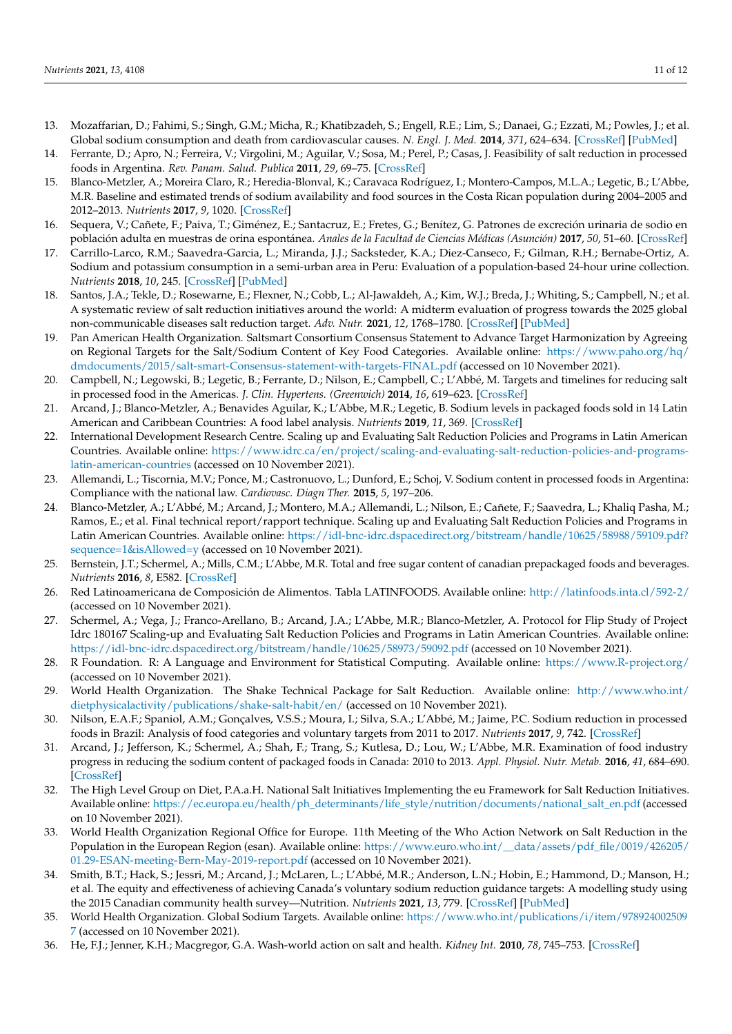- <span id="page-10-0"></span>13. Mozaffarian, D.; Fahimi, S.; Singh, G.M.; Micha, R.; Khatibzadeh, S.; Engell, R.E.; Lim, S.; Danaei, G.; Ezzati, M.; Powles, J.; et al. Global sodium consumption and death from cardiovascular causes. *N. Engl. J. Med.* **2014**, *371*, 624–634. [\[CrossRef\]](http://doi.org/10.1056/NEJMoa1304127) [\[PubMed\]](http://www.ncbi.nlm.nih.gov/pubmed/25119608)
- <span id="page-10-1"></span>14. Ferrante, D.; Apro, N.; Ferreira, V.; Virgolini, M.; Aguilar, V.; Sosa, M.; Perel, P.; Casas, J. Feasibility of salt reduction in processed foods in Argentina. *Rev. Panam. Salud. Publica* **2011**, *29*, 69–75. [\[CrossRef\]](http://doi.org/10.1590/S1020-49892011000200001)
- <span id="page-10-2"></span>15. Blanco-Metzler, A.; Moreira Claro, R.; Heredia-Blonval, K.; Caravaca Rodríguez, I.; Montero-Campos, M.L.A.; Legetic, B.; L'Abbe, M.R. Baseline and estimated trends of sodium availability and food sources in the Costa Rican population during 2004–2005 and 2012–2013. *Nutrients* **2017**, *9*, 1020. [\[CrossRef\]](http://doi.org/10.3390/nu9091020)
- <span id="page-10-3"></span>16. Sequera, V.; Cañete, F.; Paiva, T.; Giménez, E.; Santacruz, E.; Fretes, G.; Benítez, G. Patrones de excreción urinaria de sodio en población adulta en muestras de orina espontánea. *Anales de la Facultad de Ciencias Médicas (Asunción)* **2017**, *50*, 51–60. [\[CrossRef\]](http://doi.org/10.18004/anales/2017.050(01)51-060)
- <span id="page-10-4"></span>17. Carrillo-Larco, R.M.; Saavedra-Garcia, L.; Miranda, J.J.; Sacksteder, K.A.; Diez-Canseco, F.; Gilman, R.H.; Bernabe-Ortiz, A. Sodium and potassium consumption in a semi-urban area in Peru: Evaluation of a population-based 24-hour urine collection. *Nutrients* **2018**, *10*, 245. [\[CrossRef\]](http://doi.org/10.3390/nu10020245) [\[PubMed\]](http://www.ncbi.nlm.nih.gov/pubmed/29470396)
- <span id="page-10-5"></span>18. Santos, J.A.; Tekle, D.; Rosewarne, E.; Flexner, N.; Cobb, L.; Al-Jawaldeh, A.; Kim, W.J.; Breda, J.; Whiting, S.; Campbell, N.; et al. A systematic review of salt reduction initiatives around the world: A midterm evaluation of progress towards the 2025 global non-communicable diseases salt reduction target. *Adv. Nutr.* **2021**, *12*, 1768–1780. [\[CrossRef\]](http://doi.org/10.1093/advances/nmab008) [\[PubMed\]](http://www.ncbi.nlm.nih.gov/pubmed/33693460)
- <span id="page-10-6"></span>19. Pan American Health Organization. Saltsmart Consortium Consensus Statement to Advance Target Harmonization by Agreeing on Regional Targets for the Salt/Sodium Content of Key Food Categories. Available online: [https://www.paho.org/hq/](https://www.paho.org/hq/dmdocuments/2015/salt-smart-Consensus-statement-with-targets-FINAL.pdf) [dmdocuments/2015/salt-smart-Consensus-statement-with-targets-FINAL.pdf](https://www.paho.org/hq/dmdocuments/2015/salt-smart-Consensus-statement-with-targets-FINAL.pdf) (accessed on 10 November 2021).
- <span id="page-10-7"></span>20. Campbell, N.; Legowski, B.; Legetic, B.; Ferrante, D.; Nilson, E.; Campbell, C.; L'Abbé, M. Targets and timelines for reducing salt in processed food in the Americas. *J. Clin. Hypertens. (Greenwich)* **2014**, *16*, 619–623. [\[CrossRef\]](http://doi.org/10.1111/jch.12379)
- <span id="page-10-8"></span>21. Arcand, J.; Blanco-Metzler, A.; Benavides Aguilar, K.; L'Abbe, M.R.; Legetic, B. Sodium levels in packaged foods sold in 14 Latin American and Caribbean Countries: A food label analysis. *Nutrients* **2019**, *11*, 369. [\[CrossRef\]](http://doi.org/10.3390/nu11020369)
- <span id="page-10-9"></span>22. International Development Research Centre. Scaling up and Evaluating Salt Reduction Policies and Programs in Latin American Countries. Available online: [https://www.idrc.ca/en/project/scaling-and-evaluating-salt-reduction-policies-and-programs](https://www.idrc.ca/en/project/scaling-and-evaluating-salt-reduction-policies-and-programs-latin-american-countries)[latin-american-countries](https://www.idrc.ca/en/project/scaling-and-evaluating-salt-reduction-policies-and-programs-latin-american-countries) (accessed on 10 November 2021).
- <span id="page-10-10"></span>23. Allemandi, L.; Tiscornia, M.V.; Ponce, M.; Castronuovo, L.; Dunford, E.; Schoj, V. Sodium content in processed foods in Argentina: Compliance with the national law. *Cardiovasc. Diagn Ther.* **2015**, *5*, 197–206.
- <span id="page-10-11"></span>24. Blanco-Metzler, A.; L'Abbé, M.; Arcand, J.; Montero, M.A.; Allemandi, L.; Nilson, E.; Cañete, F.; Saavedra, L.; Khaliq Pasha, M.; Ramos, E.; et al. Final technical report/rapport technique. Scaling up and Evaluating Salt Reduction Policies and Programs in Latin American Countries. Available online: [https://idl-bnc-idrc.dspacedirect.org/bitstream/handle/10625/58988/59109.pdf?](https://idl-bnc-idrc.dspacedirect.org/bitstream/handle/10625/58988/59109.pdf?sequence=1&isAllowed=y) [sequence=1&isAllowed=y](https://idl-bnc-idrc.dspacedirect.org/bitstream/handle/10625/58988/59109.pdf?sequence=1&isAllowed=y) (accessed on 10 November 2021).
- <span id="page-10-12"></span>25. Bernstein, J.T.; Schermel, A.; Mills, C.M.; L'Abbe, M.R. Total and free sugar content of canadian prepackaged foods and beverages. *Nutrients* **2016**, *8*, E582. [\[CrossRef\]](http://doi.org/10.3390/nu8090582)
- <span id="page-10-13"></span>26. Red Latinoamericana de Composición de Alimentos. Tabla LATINFOODS. Available online: <http://latinfoods.inta.cl/592-2/> (accessed on 10 November 2021).
- <span id="page-10-14"></span>27. Schermel, A.; Vega, J.; Franco-Arellano, B.; Arcand, J.A.; L'Abbe, M.R.; Blanco-Metzler, A. Protocol for Flip Study of Project Idrc 180167 Scaling-up and Evaluating Salt Reduction Policies and Programs in Latin American Countries. Available online: <https://idl-bnc-idrc.dspacedirect.org/bitstream/handle/10625/58973/59092.pdf> (accessed on 10 November 2021).
- <span id="page-10-15"></span>28. R Foundation. R: A Language and Environment for Statistical Computing. Available online: <https://www.R-project.org/> (accessed on 10 November 2021).
- <span id="page-10-16"></span>29. World Health Organization. The Shake Technical Package for Salt Reduction. Available online: [http://www.who.int/](http://www.who.int/dietphysicalactivity/publications/shake-salt-habit/en/) [dietphysicalactivity/publications/shake-salt-habit/en/](http://www.who.int/dietphysicalactivity/publications/shake-salt-habit/en/) (accessed on 10 November 2021).
- <span id="page-10-17"></span>30. Nilson, E.A.F.; Spaniol, A.M.; Gonçalves, V.S.S.; Moura, I.; Silva, S.A.; L'Abbé, M.; Jaime, P.C. Sodium reduction in processed foods in Brazil: Analysis of food categories and voluntary targets from 2011 to 2017. *Nutrients* **2017**, *9*, 742. [\[CrossRef\]](http://doi.org/10.3390/nu9070742)
- <span id="page-10-18"></span>31. Arcand, J.; Jefferson, K.; Schermel, A.; Shah, F.; Trang, S.; Kutlesa, D.; Lou, W.; L'Abbe, M.R. Examination of food industry progress in reducing the sodium content of packaged foods in Canada: 2010 to 2013. *Appl. Physiol. Nutr. Metab.* **2016**, *41*, 684–690. [\[CrossRef\]](http://doi.org/10.1139/apnm-2015-0617)
- <span id="page-10-19"></span>32. The High Level Group on Diet, P.A.a.H. National Salt Initiatives Implementing the eu Framework for Salt Reduction Initiatives. Available online: [https://ec.europa.eu/health/ph\\_determinants/life\\_style/nutrition/documents/national\\_salt\\_en.pdf](https://ec.europa.eu/health/ph_determinants/life_style/nutrition/documents/national_salt_en.pdf) (accessed on 10 November 2021).
- <span id="page-10-20"></span>33. World Health Organization Regional Office for Europe. 11th Meeting of the Who Action Network on Salt Reduction in the Population in the European Region (esan). Available online: [https://www.euro.who.int/\\_\\_data/assets/pdf\\_file/0019/426205/](https://www.euro.who.int/__data/assets/pdf_file/0019/426205/01.29-ESAN-meeting-Bern-May-2019-report.pdf) [01.29-ESAN-meeting-Bern-May-2019-report.pdf](https://www.euro.who.int/__data/assets/pdf_file/0019/426205/01.29-ESAN-meeting-Bern-May-2019-report.pdf) (accessed on 10 November 2021).
- <span id="page-10-21"></span>34. Smith, B.T.; Hack, S.; Jessri, M.; Arcand, J.; McLaren, L.; L'Abbé, M.R.; Anderson, L.N.; Hobin, E.; Hammond, D.; Manson, H.; et al. The equity and effectiveness of achieving Canada's voluntary sodium reduction guidance targets: A modelling study using the 2015 Canadian community health survey—Nutrition. *Nutrients* **2021**, *13*, 779. [\[CrossRef\]](http://doi.org/10.3390/nu13030779) [\[PubMed\]](http://www.ncbi.nlm.nih.gov/pubmed/33673550)
- <span id="page-10-22"></span>35. World Health Organization. Global Sodium Targets. Available online: [https://www.who.int/publications/i/item/978924002509](https://www.who.int/publications/i/item/9789240025097) [7](https://www.who.int/publications/i/item/9789240025097) (accessed on 10 November 2021).
- <span id="page-10-23"></span>36. He, F.J.; Jenner, K.H.; Macgregor, G.A. Wash-world action on salt and health. *Kidney Int.* **2010**, *78*, 745–753. [\[CrossRef\]](http://doi.org/10.1038/ki.2010.280)